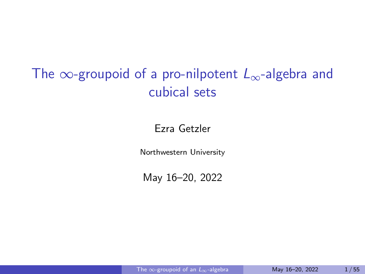# <span id="page-0-0"></span>The  $\infty$ -groupoid of a pro-nilpotent  $L_{\infty}$ -algebra and cubical sets

#### Ezra Getzler

Northwestern University

May 16–20, 2022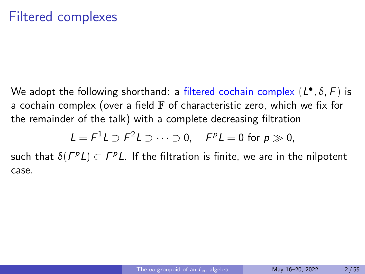We adopt the following shorthand: a filtered cochain complex  $(L^{\bullet}, \delta, F)$  is a cochain complex (over a field  $\mathbb F$  of characteristic zero, which we fix for the remainder of the talk) with a complete decreasing filtration

$$
L = F^1 L \supset F^2 L \supset \cdots \supset 0, \quad F^p L = 0 \text{ for } p \gg 0,
$$

such that  $\delta(\bar{F}^pL)\subset \bar{F}^pL$ . If the filtration is finite, we are in the nilpotent case.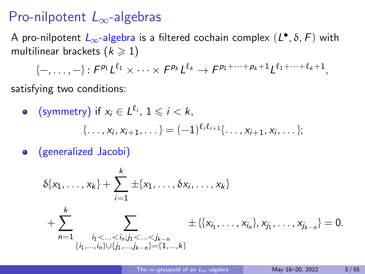### Pro-nilpotent  $L_{\infty}$ -algebras

A pro-nilpotent  $L_{\infty}$ -algebra is a filtered cochain complex  $(L^{\bullet}, \delta, F)$  with multilinear brackets  $(k \geq 1)$ 

 $\{-,\ldots,-\} \colon F^{\rho_1}L^{\ell_1} \times \cdots \times F^{\rho_k}L^{\ell_k} \to F^{\rho_1+\cdots+\rho_k+1}L^{\ell_1+\cdots+\ell_k+1},$ 

satisfying two conditions:

• (symmetry) if 
$$
x_i \in L^{\ell_i}
$$
,  $1 \le i < k$ ,  
{...,  $x_i$ ,  $x_{i+1}$ , ...} =  $(-1)^{\ell_i \ell_{i+1}}$ {...,  $x_{i+1}$ ,  $x_i$ , ...};

(generalized Jacobi)  $\bullet$ 

$$
\delta\{x_1, \ldots, x_k\} + \sum_{i=1}^k \pm \{x_1, \ldots, \delta x_i, \ldots, x_k\} \n+ \sum_{n=1}^k \sum_{\substack{i_1 < \ldots < i_n, j_1 < \ldots < j_{k-n} \\ \{i_1, \ldots, i_n\} \cup \{j_1, \ldots, j_{k-n}\} = \{1, \ldots, k\}}} \pm \{\{x_{i_1}, \ldots, x_{i_n}\}, x_{j_1}, \ldots, x_{j_{k-n}}\} = 0.
$$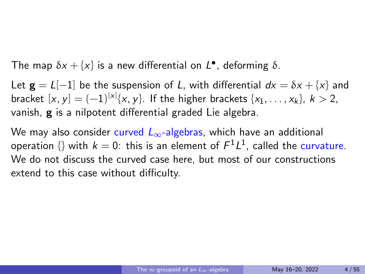The map  $\delta x + \{x\}$  is a new differential on  $L^{\bullet}$ , deforming  $\delta$ .

Let  $g = L[-1]$  be the suspension of L, with differential  $dx = \delta x + \{x\}$  and bracket  $[x, y] = (-1)^{|x|} \{x, y\}$ . If the higher brackets  $\{x_1, ..., x_k\}, k > 2$ , vanish, g is a nilpotent differential graded Lie algebra.

We may also consider curved  $L_{\infty}$ -algebras, which have an additional operation  $\{\}$  with  $k=0$ : this is an element of  $\mathcal{F}^1\mathcal{L}^1$ , called the curvature. We do not discuss the curved case here, but most of our constructions extend to this case without difficulty.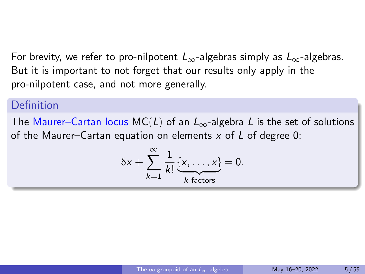For brevity, we refer to pro-nilpotent  $L_{\infty}$ -algebras simply as  $L_{\infty}$ -algebras. But it is important to not forget that our results only apply in the pro-nilpotent case, and not more generally.

### **Definition**

The Maurer–Cartan locus MC(L) of an  $L_{\infty}$ -algebra L is the set of solutions of the Maurer–Cartan equation on elements  $x$  of  $L$  of degree 0:

$$
\delta x + \sum_{k=1}^{\infty} \frac{1}{k!} \underbrace{\{x, \ldots, x\}}_{k \text{ factors}} = 0.
$$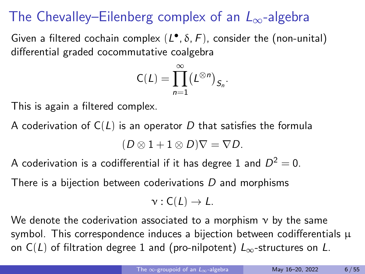# The Chevalley–Eilenberg complex of an  $L_{\infty}$ -algebra

Given a filtered cochain complex  $(L^{\bullet}, \delta, F)$ , consider the (non-unital) differential graded cocommutative coalgebra

$$
C(L) = \prod_{n=1}^{\infty} (L^{\otimes n})_{S_n}.
$$

This is again a filtered complex.

A coderivation of  $C(L)$  is an operator D that satisfies the formula

$$
(D\otimes 1+1\otimes D)\nabla=\nabla D.
$$

A coderivation is a codifferential if it has degree 1 and  $D^2=0.$ 

There is a bijection between coderivations D and morphisms

$$
\nu : C(L) \to L.
$$

We denote the coderivation associated to a morphism  $v$  by the same symbol. This correspondence induces a bijection between codifferentials  $\mu$ on C(L) of filtration degree 1 and (pro-nilpotent)  $L_{\infty}$ -structures on L.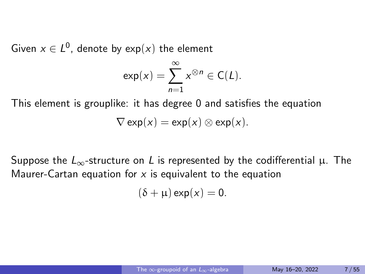Given  $x \in L^0$ , denote by  $\exp(x)$  the element

$$
\exp(x) = \sum_{n=1}^{\infty} x^{\otimes n} \in C(L).
$$

This element is grouplike: it has degree 0 and satisfies the equation  $\nabla$  exp(x)  $=$  exp(x)  $\otimes$  exp(x).

Suppose the  $L_{\infty}$ -structure on L is represented by the codifferential  $\mu$ . The Maurer-Cartan equation for  $x$  is equivalent to the equation

 $(\delta + \mu)$  exp(x) = 0.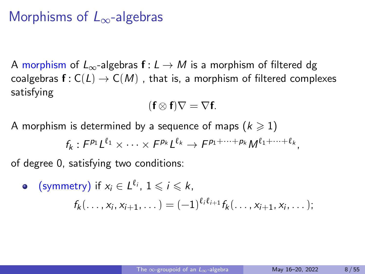### Morphisms of  $L_{\infty}$ -algebras

A morphism of  $L_{\infty}$ -algebras  $f: L \to M$  is a morphism of filtered dg coalgebras  $f: C(L) \to C(M)$ , that is, a morphism of filtered complexes satisfying

$$
(\mathbf{f}\otimes\mathbf{f})\nabla=\nabla\mathbf{f}.
$$

A morphism is determined by a sequence of maps ( $k \ge 1$ )

$$
f_k: F^{p_1}L^{\ell_1}\times\cdots\times F^{p_k}L^{\ell_k}\to F^{p_1+\cdots+p_k}M^{\ell_1+\cdots+\ell_k},
$$

of degree 0, satisfying two conditions:

\n- \n
$$
\text{symmetry) if } x_i \in L^{\ell_i}, \, 1 \leqslant i \leqslant k,
$$
\n
$$
f_k(\ldots, x_i, x_{i+1}, \ldots) = (-1)^{\ell_i \ell_{i+1}} f_k(\ldots, x_{i+1}, x_i, \ldots);
$$
\n
\n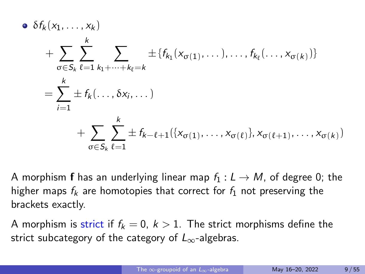$$
\Phi \delta f_k(x_1, \ldots, x_k)
$$
\n
$$
+ \sum_{\sigma \in S_k} \sum_{\ell=1}^k \sum_{k_1 + \cdots + k_\ell = k} \pm \{f_{k_1}(x_{\sigma(1)}, \ldots), \ldots, f_{k_\ell}(\ldots, x_{\sigma(k)})\}
$$
\n
$$
= \sum_{i=1}^k \pm f_k(\ldots, \delta x_i, \ldots)
$$
\n
$$
+ \sum_{\sigma \in S_k} \sum_{\ell=1}^k \pm f_{k-\ell+1}(\{x_{\sigma(1)}, \ldots, x_{\sigma(\ell)}\}, x_{\sigma(\ell+1)}, \ldots, x_{\sigma(k)})
$$

A morphism **f** has an underlying linear map  $f_1 : L \rightarrow M$ , of degree 0; the higher maps  $f_k$  are homotopies that correct for  $f_1$  not preserving the brackets exactly.

A morphism is strict if  $f_k = 0, k > 1$ . The strict morphisms define the strict subcategory of the category of  $L_{\infty}$ -algebras.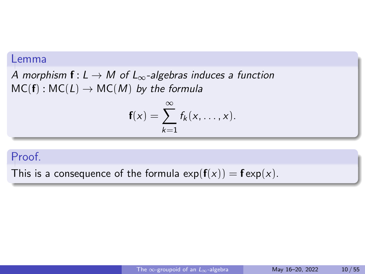#### Lemma

A morphism  $f: L \to M$  of  $L_{\infty}$ -algebras induces a function  $MC(f): MC(L) \rightarrow MC(M)$  by the formula

$$
\mathbf{f}(x) = \sum_{k=1}^{\infty} f_k(x, \ldots, x).
$$

#### Proof.

This is a consequence of the formula  $exp(f(x)) = f exp(x)$ .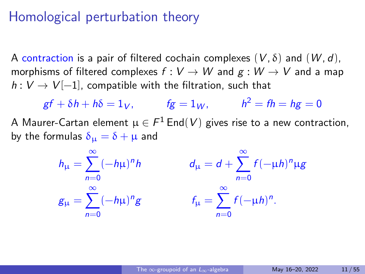### Homological perturbation theory

A contraction is a pair of filtered cochain complexes  $(V, \delta)$  and  $(W, d)$ , morphisms of filtered complexes  $f: V \to W$  and  $g: W \to V$  and a map  $h: V \to V[-1]$ , compatible with the filtration, such that

 $gf + \delta h + h\delta = 1_V$ ,  $fg = 1_W$ ,  $h^2 = fh = hg = 0$ A Maurer-Cartan element  $\mu \in \mathcal{F}^1$  End $(V)$  gives rise to a new contraction, by the formulas  $\delta_{\mu} = \delta + \mu$  and

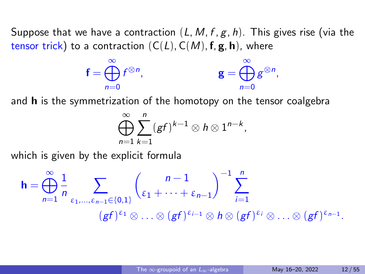Suppose that we have a contraction  $(L, M, f, g, h)$ . This gives rise (via the tensor trick) to a contraction  $(C(L), C(M), f, g, h)$ , where

$$
\mathbf{f} = \bigoplus_{n=0}^{\infty} f^{\otimes n}, \qquad \qquad \mathbf{g} = \bigoplus_{n=0}^{\infty} g^{\otimes n},
$$

and **h** is the symmetrization of the homotopy on the tensor coalgebra

$$
\bigoplus_{n=1}^{\infty}\sum_{k=1}^{n}(gf)^{k-1}\otimes h\otimes 1^{n-k},
$$

which is given by the explicit formula

$$
\mathbf{h} = \bigoplus_{n=1}^{\infty} \frac{1}{n} \sum_{\varepsilon_1, \dots, \varepsilon_{n-1} \in \{0, 1\}} \binom{n-1}{\varepsilon_1 + \dots + \varepsilon_{n-1}}^{-1} \sum_{i=1}^n
$$
  

$$
(gf)^{\varepsilon_1} \otimes \dots \otimes (gf)^{\varepsilon_{i-1}} \otimes h \otimes (gf)^{\varepsilon_i} \otimes \dots \otimes (gf)^{\varepsilon_{n-1}}.
$$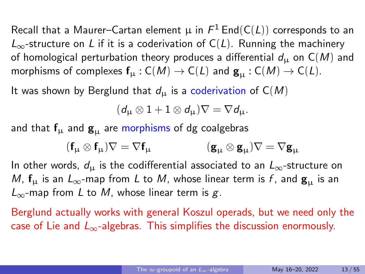Recall that a Maurer–Cartan element  $\mu$  in  $\mathit{F}^{1}\, \mathsf{End}(\mathsf{C}(L))$  corresponds to an  $L_{\infty}$ -structure on L if it is a coderivation of C(L). Running the machinery of homological perturbation theory produces a differential  $d_{\mu}$  on  $C(M)$  and morphisms of complexes  $f_{\mu}: C(M) \to C(L)$  and  $g_{\mu}: C(M) \to C(L)$ .

It was shown by Berglund that  $d_{\mu}$  is a coderivation of  $C(M)$ 

 $(d_{\mathbf{u}} \otimes 1 + 1 \otimes d_{\mathbf{u}}) \nabla = \nabla d_{\mathbf{u}}.$ 

and that  $f_{\mu}$  and  $g_{\mu}$  are morphisms of dg coalgebras

$$
(\textbf{f}_{\mu} \otimes \textbf{f}_{\mu})\nabla = \nabla \textbf{f}_{\mu} \hspace{10mm} (\textbf{g}_{\mu} \otimes \textbf{g}_{\mu})\nabla = \nabla \textbf{g}_{\mu}
$$

In other words,  $d_{\mu}$  is the codifferential associated to an  $L_{\infty}$ -structure on M,  $f_{\mu}$  is an  $L_{\infty}$ -map from L to M, whose linear term is f, and  $g_{\mu}$  is an  $L_{\infty}$ -map from L to M, whose linear term is g.

Berglund actually works with general Koszul operads, but we need only the case of Lie and  $L_{\infty}$ -algebras. This simplifies the discussion enormously.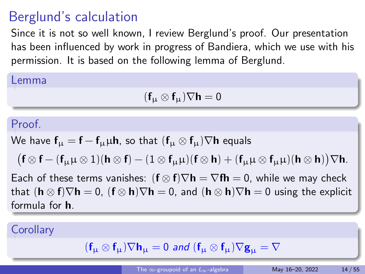# Berglund's calculation

Since it is not so well known, I review Berglund's proof. Our presentation has been influenced by work in progress of Bandiera, which we use with his permission. It is based on the following lemma of Berglund.

#### Lemma

$$
(\textbf{f}_{\mu} \otimes \textbf{f}_{\mu}) \nabla \textbf{h} = 0
$$

#### Proof.

We have  $f_{\mu} = f - f_{\mu} \mu h$ , so that  $(f_{\mu} \otimes f_{\mu}) \nabla h$  equals

 $\big(\mathsf{f}\otimes\mathsf{f}-(\mathsf{f}_\mu\mu\otimes 1)(\mathsf{h}\otimes\mathsf{f})-(1\otimes\mathsf{f}_\mu\mu)(\mathsf{f}\otimes\mathsf{h})+(\mathsf{f}_\mu\mu\otimes\mathsf{f}_\mu\mu)(\mathsf{h}\otimes\mathsf{h})\big)\nabla\mathsf{h}.$ 

Each of these terms vanishes:  $(f \otimes f) \nabla h = \nabla f h = 0$ , while we may check that  $(h \otimes f)\nabla h = 0$ ,  $(f \otimes h)\nabla h = 0$ , and  $(h \otimes h)\nabla h = 0$  using the explicit formula for h.

### **Corollary**

$$
(\textbf{f}_{\mu} \otimes \textbf{f}_{\mu}) \nabla \textbf{h}_{\mu} = 0 \text{ and } (\textbf{f}_{\mu} \otimes \textbf{f}_{\mu}) \nabla \textbf{g}_{\mu} = \nabla
$$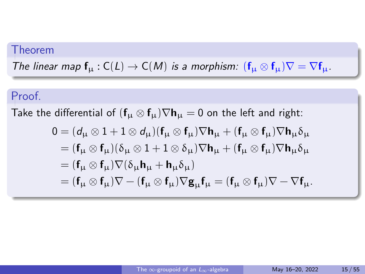### Theorem

The linear map  $f_{\mu}: C(L) \to C(M)$  is a morphism:  $(f_{\mu} \otimes f_{\mu}) \nabla = \nabla f_{\mu}$ .

### Proof.

Take the differential of  $(f_\mu \otimes f_\mu) \nabla h_\mu = 0$  on the left and right:

$$
0 = (d_{\mu} \otimes 1 + 1 \otimes d_{\mu})(f_{\mu} \otimes f_{\mu})\nabla h_{\mu} + (f_{\mu} \otimes f_{\mu})\nabla h_{\mu}\delta_{\mu}
$$
  
\n
$$
= (f_{\mu} \otimes f_{\mu})(\delta_{\mu} \otimes 1 + 1 \otimes \delta_{\mu})\nabla h_{\mu} + (f_{\mu} \otimes f_{\mu})\nabla h_{\mu}\delta_{\mu}
$$
  
\n
$$
= (f_{\mu} \otimes f_{\mu})\nabla(\delta_{\mu}h_{\mu} + h_{\mu}\delta_{\mu})
$$
  
\n
$$
= (f_{\mu} \otimes f_{\mu})\nabla - (f_{\mu} \otimes f_{\mu})\nabla g_{\mu}f_{\mu} = (f_{\mu} \otimes f_{\mu})\nabla - \nabla f_{\mu}.
$$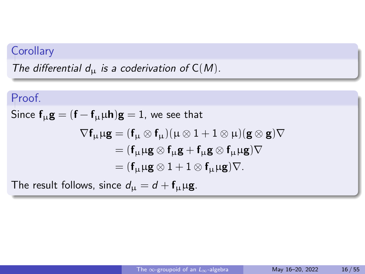### **Corollary**

The differential  $d_{\mu}$  is a coderivation of  $C(M)$ .

# Proof. Since  $f_{\mu}g = (f - f_{\mu}\mu h)g = 1$ , we see that  $\nabla f_\mu \mu g = (f_\mu \otimes f_\mu)(\mu \otimes 1 + 1 \otimes \mu)(g \otimes g)\nabla$  $=$   $(f_{11}\mu g \otimes f_{11}g + f_{11}g \otimes f_{11}\mu g)\nabla$  $=$   $(f_{\mu}\mu\mathbf{g}\otimes 1 + 1\otimes f_{\mu}\mu\mathbf{g})\nabla$ .

The result follows, since  $d_{\mu} = d + f_{\mu} \mu \mathbf{g}$ .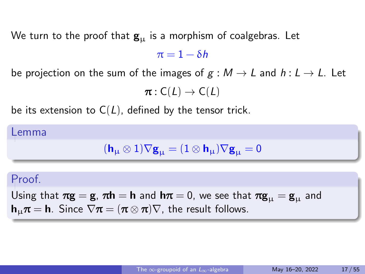We turn to the proof that  $\mathbf{g}_{\mu}$  is a morphism of coalgebras. Let  $\pi = 1 - \delta h$ 

be projection on the sum of the images of  $g : M \to L$  and  $h : L \to L$ . Let

$$
\pi:C(L)\to C(L)
$$

be its extension to  $C(L)$ , defined by the tensor trick.

#### Lemma

$$
(\textbf{h}_{\mu}\otimes 1)\nabla \textbf{g}_{\mu}=(1\otimes \textbf{h}_{\mu})\nabla \textbf{g}_{\mu}=0
$$

#### Proof.

Using that  $\pi g = g$ ,  $\pi h = h$  and  $h\pi = 0$ , we see that  $\pi g_{\mu} = g_{\mu}$  and  $h_{\mu}\pi = h$ . Since  $\nabla \pi = (\pi \otimes \pi)\nabla$ , the result follows.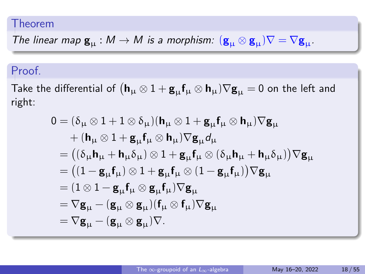#### Theorem

The linear map  $\mathbf{g}_{\mu} : M \to M$  is a morphism:  $(\mathbf{g}_{\mu} \otimes \mathbf{g}_{\mu}) \nabla = \nabla \mathbf{g}_{\mu}$ .

### Proof.

Take the differential of  $({\bm h}_\mu\otimes 1+{\bf g}_\mu{\sf f}_\mu\otimes{\bm h}_\mu)\nabla{\bf g}_\mu=0$  on the left and right:

$$
0 = (\delta_{\mu} \otimes 1 + 1 \otimes \delta_{\mu})(h_{\mu} \otimes 1 + g_{\mu}f_{\mu} \otimes h_{\mu})\nabla g_{\mu}
$$
  
+ 
$$
(h_{\mu} \otimes 1 + g_{\mu}f_{\mu} \otimes h_{\mu})\nabla g_{\mu}d_{\mu}
$$
  
= 
$$
((\delta_{\mu}h_{\mu} + h_{\mu}\delta_{\mu}) \otimes 1 + g_{\mu}f_{\mu} \otimes (\delta_{\mu}h_{\mu} + h_{\mu}\delta_{\mu}))\nabla g_{\mu}
$$
  
= 
$$
((1 - g_{\mu}f_{\mu}) \otimes 1 + g_{\mu}f_{\mu} \otimes (1 - g_{\mu}f_{\mu}))\nabla g_{\mu}
$$
  
= 
$$
(1 \otimes 1 - g_{\mu}f_{\mu} \otimes g_{\mu}f_{\mu})\nabla g_{\mu}
$$
  
= 
$$
\nabla g_{\mu} - (g_{\mu} \otimes g_{\mu})(f_{\mu} \otimes f_{\mu})\nabla g_{\mu}
$$
  
= 
$$
\nabla g_{\mu} - (g_{\mu} \otimes g_{\mu})\nabla.
$$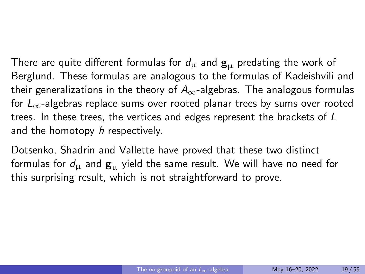There are quite different formulas for  $d_{\mu}$  and  $\mathbf{g}_{\mu}$  predating the work of Berglund. These formulas are analogous to the formulas of Kadeishvili and their generalizations in the theory of  $A_{\infty}$ -algebras. The analogous formulas for  $L_{\infty}$ -algebras replace sums over rooted planar trees by sums over rooted trees. In these trees, the vertices and edges represent the brackets of L and the homotopy h respectively.

Dotsenko, Shadrin and Vallette have proved that these two distinct formulas for  $d_{\mu}$  and  $\mathbf{g}_{\mu}$  yield the same result. We will have no need for this surprising result, which is not straightforward to prove.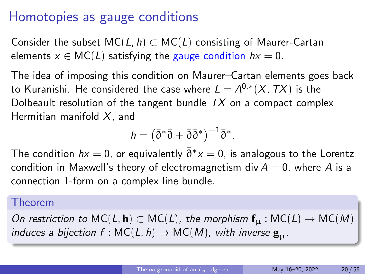# Homotopies as gauge conditions

Consider the subset  $MC(L, h) \subset MC(L)$  consisting of Maurer-Cartan elements  $x \in MC(L)$  satisfying the gauge condition  $hx = 0$ .

The idea of imposing this condition on Maurer–Cartan elements goes back to Kuranishi. He considered the case where  $L=A^{0,*}(X,\, TX)$  is the Dolbeault resolution of the tangent bundle  $TX$  on a compact complex Hermitian manifold  $X$ , and

$$
h = (\bar{\partial}^* \bar{\partial} + \bar{\partial} \bar{\partial}^*)^{-1} \bar{\partial}^*.
$$

The condition  $hx=0$ , or equivalently  $\bar{\partial}^*x=0$ , is analogous to the Lorentz condition in Maxwell's theory of electromagnetism div  $A = 0$ , where A is a connection 1-form on a complex line bundle.

#### Theorem

On restriction to  $MC(L, h) \subset MC(L)$ , the morphism  $f<sub>u</sub>$ :  $MC(L) \rightarrow MC(M)$ induces a bijection  $f : \mathsf{MC}(L, h) \to \mathsf{MC}(M)$ , with inverse  $\mathbf{g}_{\mathfrak{u}}$ .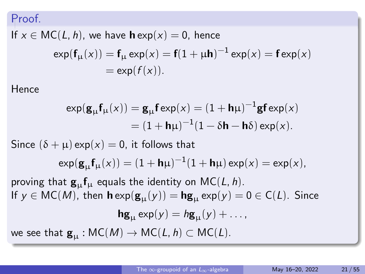#### Proof.

If  $x \in \text{MC}(L, h)$ , we have  $\mathbf{h} \exp(x) = 0$ , hence

$$
\exp(\mathbf{f}_{\mu}(x)) = \mathbf{f}_{\mu} \exp(x) = \mathbf{f}(1 + \mu \mathbf{h})^{-1} \exp(x) = \mathbf{f} \exp(x)
$$

$$
= \exp(f(x)).
$$

Hence

$$
\exp(\mathbf{g}_{\mu}\mathbf{f}_{\mu}(x)) = \mathbf{g}_{\mu}\mathbf{f} \exp(x) = (1 + \mathbf{h}\mu)^{-1}\mathbf{g}\mathbf{f} \exp(x)
$$

$$
= (1 + \mathbf{h}\mu)^{-1}(1 - \delta\mathbf{h} - \mathbf{h}\delta) \exp(x).
$$

Since  $(\delta + \mu)$  exp $(x) = 0$ , it follows that

$$
\exp(\mathbf{g}_{\mu}\mathbf{f}_{\mu}(x)) = (1 + \mathbf{h}\mu)^{-1}(1 + \mathbf{h}\mu)\exp(x) = \exp(x),
$$

proving that  $\mathbf{g}_{\mu} \mathbf{f}_{\mu}$  equals the identity on MC(L, h). If  $y \in \text{MC}(M)$ , then  $\mathbf{h} \exp(\mathbf{g}_{\text{U}}(y)) = \mathbf{h} \mathbf{g}_{\text{U}} \exp(y) = 0 \in \text{C}(L)$ . Since  $\mathbf{h} \mathbf{g}_{\mathbf{u}} \exp(y) = h \mathbf{g}_{\mathbf{u}}(y) + \dots,$ we see that  $\mathbf{g}_{\mathbf{u}} : \mathsf{MC}(M) \to \mathsf{MC}(L, h) \subset \mathsf{MC}(L)$ .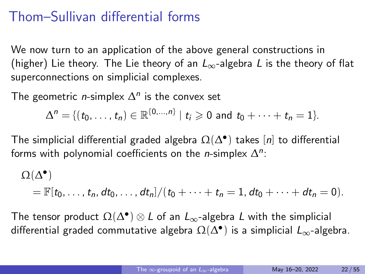# Thom–Sullivan differential forms

We now turn to an application of the above general constructions in (higher) Lie theory. The Lie theory of an  $L_{\infty}$ -algebra L is the theory of flat superconnections on simplicial complexes.

The geometric *n*-simplex  $\Delta^n$  is the convex set

$$
\Delta^n = \{ (t_0, \ldots, t_n) \in \mathbb{R}^{\{0, \ldots, n\}} \mid t_i \geq 0 \text{ and } t_0 + \cdots + t_n = 1 \}.
$$

The simplicial differential graded algebra  $\Omega(\Delta^\bullet)$  takes  $[n]$  to differential forms with polynomial coefficients on the *n*-simplex  $\Delta^n$ :

$$
\Omega(\Delta^{\bullet})
$$
  
=  $\mathbb{F}[t_0,\ldots,t_n, dt_0,\ldots, dt_n]/(t_0+\cdots+t_n=1, dt_0+\cdots+dt_n=0).$ 

The tensor product  $\Omega(\Delta^{\bullet}) \otimes L$  of an  $L_{\infty}$ -algebra L with the simplicial differential graded commutative algebra  $\Omega(\Delta^{\bullet})$  is a simplicial  $L_{\infty}$ -algebra.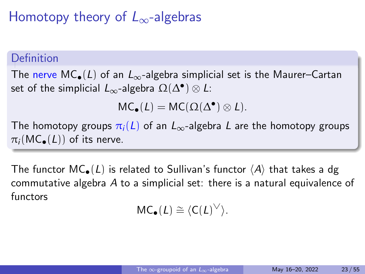# Homotopy theory of  $L_{\infty}$ -algebras

### Definition

The nerve MC<sub>•</sub>(L) of an  $L_{\infty}$ -algebra simplicial set is the Maurer–Cartan set of the simplicial  $L_{\infty}$ -algebra  $\Omega(\Delta^{\bullet})\otimes L$ :

$$
\mathsf{MC}_\bullet(L) = \mathsf{MC}(\Omega(\Delta^\bullet) \otimes L).
$$

The homotopy groups  $\pi_i(L)$  of an  $L_{\infty}$ -algebra L are the homotopy groups  $\pi_i(MC_{\bullet}(L))$  of its nerve.

The functor  $MC_{\bullet}(L)$  is related to Sullivan's functor  $\langle A \rangle$  that takes a dg commutative algebra A to a simplicial set: there is a natural equivalence of functors

 $MC_{\bullet}(L) \cong \langle C(L)^{\vee} \rangle.$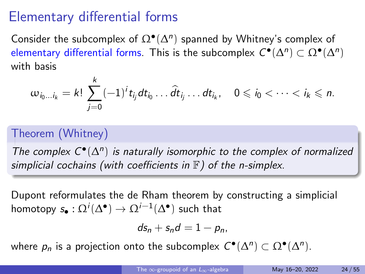### Elementary differential forms

Consider the subcomplex of  $\Omega^{\bullet}(\Delta^n)$  spanned by Whitney's complex of elementary differential forms. This is the subcomplex  $C^{\bullet}(\Delta^n) \subset \Omega^{\bullet}(\Delta^n)$ with basis

$$
\omega_{i_0...i_k}=k!\sum_{j=0}^k(-1)^it_{ij}dt_{i_0}...\widehat{dt}_{i_j}...dt_{i_k},\quad 0\leqslant i_0<\cdots
$$

### Theorem (Whitney)

The complex  $C^{\bullet}(\Delta^n)$  is naturally isomorphic to the complex of normalized simplicial cochains (with coefficients in  $F$ ) of the n-simplex.

Dupont reformulates the de Rham theorem by constructing a simplicial homotopy  $s_{\bullet}:\Omega^i(\Delta^\bullet)\to \Omega^{i-1}(\Delta^\bullet)$  such that

$$
ds_n+s_nd=1-p_n,
$$

where  $p_n$  is a projection onto the subcomplex  $C^{\bullet}(\Delta^n) \subset \Omega^{\bullet}(\Delta^n)$ .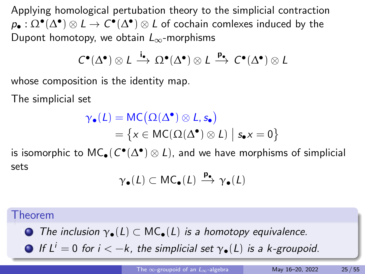Applying homological pertubation theory to the simplicial contraction  $\rho_\bullet : \Omega^\bullet(\Delta^\bullet) \otimes L \to C^\bullet(\Delta^\bullet) \otimes L$  of cochain comlexes induced by the Dupont homotopy, we obtain  $L_{\infty}$ -morphisms

$$
C^{\bullet}(\Delta^{\bullet}) \otimes L \xrightarrow{i_{\bullet}} \Omega^{\bullet}(\Delta^{\bullet}) \otimes L \xrightarrow{p_{\bullet}} C^{\bullet}(\Delta^{\bullet}) \otimes L
$$

whose composition is the identity map.

The simplicial set

$$
\gamma_{\bullet}(L) = \text{MC}(\Omega(\Delta^{\bullet}) \otimes L, s_{\bullet})
$$
  
= {x \in \text{MC}(\Omega(\Delta^{\bullet}) \otimes L) | s\_{\bullet}x = 0}

is isomorphic to  $\mathsf{MC}_\bullet(\mathcal{C}^\bullet(\Delta^\bullet)\otimes L)$ , and we have morphisms of simplicial sets

$$
\gamma_\bullet(L)\subset \mathsf{MC}_\bullet(L)\xrightarrow{\mathbf{p}_\bullet} \gamma_\bullet(L)
$$

#### Theorem

**The inclusion**  $\gamma_{\bullet}(L) \subset MC_{\bullet}(L)$  **is a homotopy equivalence.** 

 $\bigcirc$  If  $L^i = 0$  for  $i < -k$ , the simplicial set  $\gamma_{\bullet}(L)$  is a k-groupoid.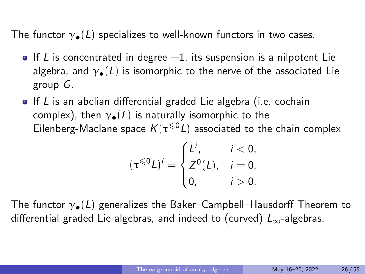The functor  $\gamma_{\bullet}(L)$  specializes to well-known functors in two cases.

- If L is concentrated in degree  $-1$ , its suspension is a nilpotent Lie algebra, and  $\gamma_{\bullet}(L)$  is isomorphic to the nerve of the associated Lie group G.
- $\bullet$  If L is an abelian differential graded Lie algebra (i.e. cochain complex), then  $\gamma_{\bullet}(L)$  is naturally isomorphic to the Eilenberg-Maclane space  $K(\tau^{\leqslant 0} L)$  associated to the chain complex

$$
(\tau^{\leq 0}L)^{i} = \begin{cases} L^{i}, & i < 0, \\ Z^{0}(L), & i = 0, \\ 0, & i > 0. \end{cases}
$$

The functor  $\gamma_{\bullet}(L)$  generalizes the Baker–Campbell–Hausdorff Theorem to differential graded Lie algebras, and indeed to (curved)  $L_{\infty}$ -algebras.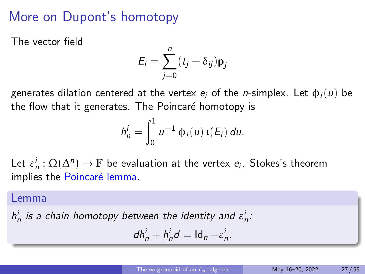# More on Dupont's homotopy

The vector field

$$
E_i = \sum_{j=0}^n (\mathbf{t}_j - \delta_{ij}) \mathbf{p}_j
$$

generates dilation centered at the vertex  $e_i$  of the *n*-simplex. Let  $\phi_i(u)$  be the flow that it generates. The Poincaré homotopy is

$$
h_n^i = \int_0^1 u^{-1} \, \phi_i(u) \, \iota(E_i) \, du.
$$

Let  $\varepsilon_n^i : \Omega(\Delta^n) \to \mathbb{F}$  be evaluation at the vertex  $e_i$ . Stokes's theorem implies the Poincaré lemma.

#### Lemma

 $h_n^i$  is a chain homotopy between the identity and  $\varepsilon_n^i$ :

$$
dh_n^i + h_n^i d = \mathrm{Id}_n - \varepsilon_n^i.
$$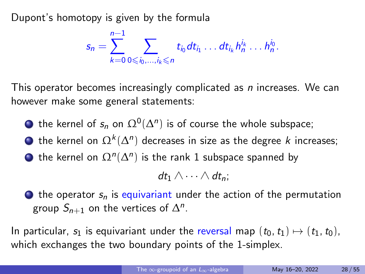Dupont's homotopy is given by the formula

$$
s_n = \sum_{k=0}^{n-1} \sum_{0 \leq i_0, \dots, i_k \leq n} t_{i_0} dt_{i_1} \dots dt_{i_k} h_n^{i_k} \dots h_n^{i_0}.
$$

This operator becomes increasingly complicated as *n* increases. We can however make some general statements:

 $\bigcirc$  the kernel of  $s_n$  on  $\Omega^0(\Delta^n)$  is of course the whole subspace;

- $\bigcirc$  the kernel on  $\Omega^k(\Delta^n)$  decreases in size as the degree k increases;
- $\bigcirc$  the kernel on  $\Omega^n(\Delta^n)$  is the rank 1 subspace spanned by

 $dt_1 \wedge \cdots \wedge dt_n$ :

 $\bullet$  the operator  $s_n$  is equivariant under the action of the permutation group  $S_{n+1}$  on the vertices of  $\Delta^n$ .

In particular,  $s_1$  is equivariant under the reversal map  $(t_0, t_1) \mapsto (t_1, t_0)$ , which exchanges the two boundary points of the 1-simplex.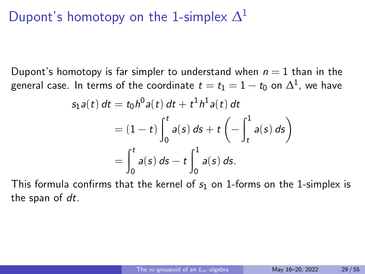# Dupont's homotopy on the 1-simplex  $\Delta^1$

Dupont's homotopy is far simpler to understand when  $n = 1$  than in the general case. In terms of the coordinate  $t=t_1=1-t_0$  on  $\Delta^1$ , we have

$$
s_1 a(t) dt = t_0 h^0 a(t) dt + t^1 h^1 a(t) dt
$$
  
=  $(1-t) \int_0^t a(s) ds + t \left( - \int_t^1 a(s) ds \right)$   
=  $\int_0^t a(s) ds - t \int_0^1 a(s) ds.$ 

This formula confirms that the kernel of  $s<sub>1</sub>$  on 1-forms on the 1-simplex is the span of dt.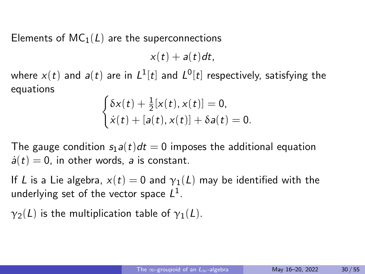Elements of  $MC_1(L)$  are the superconnections

 $x(t) + a(t)dt$ ,

where  $x(t)$  and  $a(t)$  are in  $L^1[t]$  and  $L^0[t]$  respectively, satisfying the equations

$$
\begin{cases}\delta x(t) + \frac{1}{2}[x(t), x(t)] = 0, \\
\dot{x}(t) + [a(t), x(t)] + \delta a(t) = 0.\n\end{cases}
$$

The gauge condition  $s_1 a(t) dt = 0$  imposes the additional equation  $\dot{a}(t) = 0$ , in other words, a is constant.

If L is a Lie algebra,  $x(t) = 0$  and  $y_1(L)$  may be identified with the underlying set of the vector space  $L^1$ .

 $\gamma_2(L)$  is the multiplication table of  $\gamma_1(L)$ .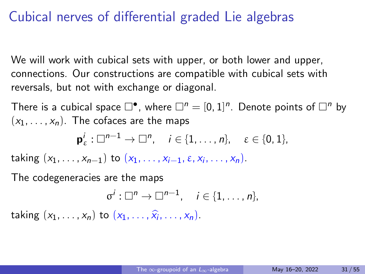### Cubical nerves of differential graded Lie algebras

We will work with cubical sets with upper, or both lower and upper, connections. Our constructions are compatible with cubical sets with reversals, but not with exchange or diagonal.

There is a cubical space  $\square^{\bullet}$ , where  $\square^n=[0,1]^n$ . Denote points of  $\square^n$  by  $(x_1, \ldots, x_n)$ . The cofaces are the maps

$$
\mathbf{p}_{\varepsilon}^i:\Box^{n-1}\to \Box^n,\quad i\in\{1,\ldots,n\},\quad \varepsilon\in\{0,1\},\
$$

taking  $(x_1, ..., x_{n-1})$  to  $(x_1, ..., x_{i-1}, \varepsilon, x_i, ..., x_n)$ .

The codegeneracies are the maps

$$
\sigma^i:\square^n\to\square^{n-1},\quad i\in\{1,\ldots,n\},\
$$

taking  $(x_1, \ldots, x_n)$  to  $(x_1, \ldots, \hat{x_i}, \ldots, x_n)$ .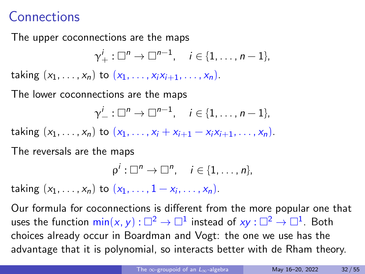# **Connections**

The upper coconnections are the maps

 $\gamma^i_+:\square^n\to \square^{n-1},\quad i\in\{1,\ldots,n-1\},$ 

taking  $(x_1, ..., x_n)$  to  $(x_1, ..., x_i x_{i+1}, ..., x_n)$ .

The lower coconnections are the maps

$$
\gamma_-^i:\square^n\to\square^{n-1},\quad i\in\{1,\ldots,n-1\},
$$

taking  $(x_1, ..., x_n)$  to  $(x_1, ..., x_i + x_{i+1} - x_i x_{i+1}, ..., x_n)$ .

The reversals are the maps

$$
\rho^i:\square^n\to\square^n,\quad i\in\{1,\ldots,n\},\
$$

taking  $(x_1, ..., x_n)$  to  $(x_1, ..., 1 - x_i, ..., x_n)$ .

Our formula for coconnections is different from the more popular one that uses the function  $\mathsf{min}(x,y) : \square^2 \to \square^1$  instead of  $xy : \square^2 \to \square^1.$  Both choices already occur in Boardman and Vogt: the one we use has the advantage that it is polynomial, so interacts better with de Rham theory.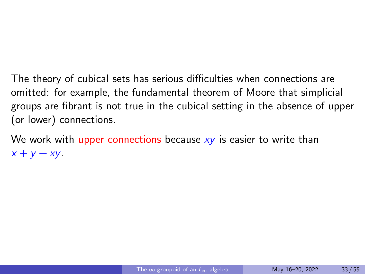The theory of cubical sets has serious difficulties when connections are omitted: for example, the fundamental theorem of Moore that simplicial groups are fibrant is not true in the cubical setting in the absence of upper (or lower) connections.

We work with upper connections because  $xy$  is easier to write than  $x + y - xy$ .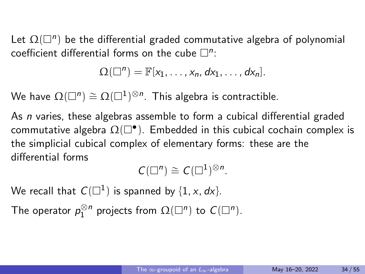Let  $\Omega(\square^n)$  be the differential graded commutative algebra of polynomial coefficient differential forms on the cube  $\square^n$ :

$$
\Omega(\square^n)=\mathbb{F}[x_1,\ldots,x_n,dx_1,\ldots,dx_n].
$$

We have  $\Omega(\square^n)\cong \Omega(\square^1)^{\otimes n}.$  This algebra is contractible.

As *n* varies, these algebras assemble to form a cubical differential graded commutative algebra  $\Omega(\Box^{\bullet}).$  Embedded in this cubical cochain complex is the simplicial cubical complex of elementary forms: these are the differential forms

 $C(\square^n) \cong C(\square^1)^{\otimes n}$ .

We recall that  $C(\square^1)$  is spanned by  $\{1, x, dx\}$ .

The operator  $p_1^{\otimes n}$  projects from  $\Omega(\Box^n)$  to  $C(\Box^n)$ .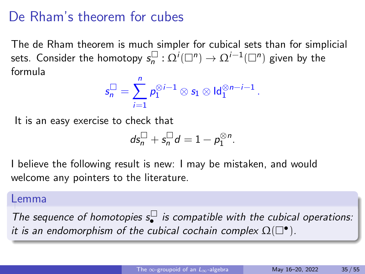# De Rham's theorem for cubes

The de Rham theorem is much simpler for cubical sets than for simplicial sets. Consider the homotopy  $s_{n}^{\Box}$  $\Xi_n^\square: \Omega^i(\square^n) \to \Omega^{i-1}(\square^n)$  given by the formula

$$
\mathsf{s}_n^\square = \sum_{i=1}^n \mathsf{p}_1^{\otimes i-1} \otimes \mathsf{s}_1 \otimes \mathsf{Id}_1^{\otimes n-i-1} \, .
$$

It is an easy exercise to check that

$$
ds_n^\square + s_n^\square d = 1 - p_1^{\otimes n}.
$$

I believe the following result is new: I may be mistaken, and would welcome any pointers to the literature.

#### Lemma

The sequence of homotopies  $s_{\bullet}^{\Box}$  $\cdot^\sqcup$  is compatible with the cubical operations: it is an endomorphism of the cubical cochain complex  $\Omega(\Box^{\bullet})$ .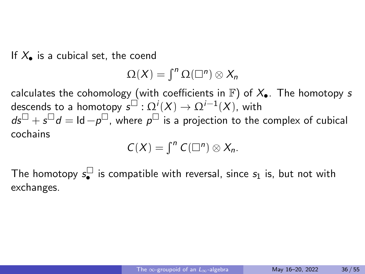If  $X_{\bullet}$  is a cubical set, the coend

$$
\Omega(X)=\int^n\Omega(\square^n)\otimes X_n
$$

calculates the cohomology (with coefficients in  $\mathbb{F}$ ) of  $X_{\bullet}$ . The homotopy s descends to a homotopy  $\overline{s^\square} : \Omega^i(X) \rightarrow \Omega^{i-1}(X)$ , with  $ds^{\Box}+s^{\Box}d=\mathsf{Id}-p^{\Box}$  , where  $p^{\Box}$  is a projection to the complex of cubical cochains

$$
C(X) = \int^n C(\square^n) \otimes X_n.
$$

The homotopy  $s_{\bullet}^{\square}$  $\bullet$  is compatible with reversal, since  $s_1$  is, but not with exchanges.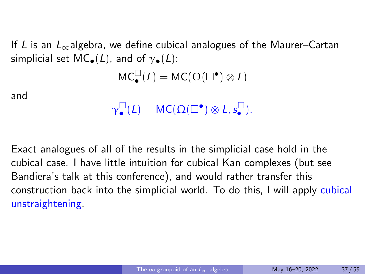If L is an  $L_{\infty}$  algebra, we define cubical analogues of the Maurer–Cartan simplicial set MC $(1)$ , and of  $\gamma_{\bullet}(L)$ :

$$
MC^{\square}_{\bullet}(L)=MC(\Omega(\square^{\bullet})\otimes L)
$$

and

$$
\gamma^\square_\bullet(L) = \mathsf{MC}(\Omega(\square^\bullet) \otimes L, s^\square_\bullet).
$$

Exact analogues of all of the results in the simplicial case hold in the cubical case. I have little intuition for cubical Kan complexes (but see Bandiera's talk at this conference), and would rather transfer this construction back into the simplicial world. To do this, I will apply cubical unstraightening.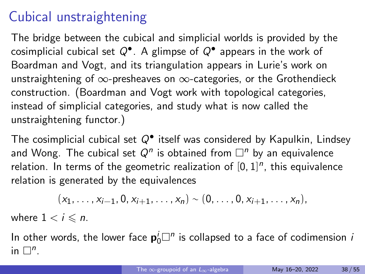# Cubical unstraightening

The bridge between the cubical and simplicial worlds is provided by the cosimplicial cubical set  $Q^\bullet$ . A glimpse of  $Q^\bullet$  appears in the work of Boardman and Vogt, and its triangulation appears in Lurie's work on unstraightening of  $\infty$ -presheaves on  $\infty$ -categories, or the Grothendieck construction. (Boardman and Vogt work with topological categories, instead of simplicial categories, and study what is now called the unstraightening functor.)

The cosimplicial cubical set  $Q^{\bullet}$  itself was considered by Kapulkin, Lindsey and Wong. The cubical set  $Q^n$  is obtained from  $\square^n$  by an equivalence relation. In terms of the geometric realization of  $[0, 1]^n$ , this equivalence relation is generated by the equivalences

$$
(x_1, \ldots, x_{i-1}, 0, x_{i+1}, \ldots, x_n) \sim (0, \ldots, 0, x_{i+1}, \ldots, x_n),
$$

where  $1 < i \leq n$ .

In other words, the lower face  $\mathbf{p}_0^i \Box^n$  is collapsed to a face of codimension  $i$ in  $\square^n$ .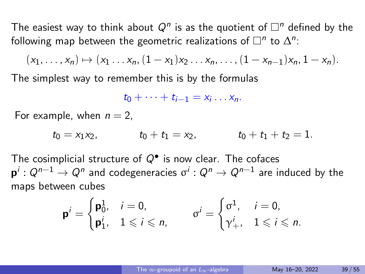The easiest way to think about  $Q^n$  is as the quotient of  $\Box^n$  defined by the following map between the geometric realizations of  $\square^n$  to  $\Delta^n$ :

$$
(x_1, \ldots, x_n) \mapsto (x_1 \ldots x_n, (1-x_1)x_2 \ldots x_n, \ldots, (1-x_{n-1})x_n, 1-x_n).
$$

The simplest way to remember this is by the formulas

$$
t_0+\cdots+t_{i-1}=x_i\ldots x_n.
$$

For example, when  $n = 2$ ,

$$
t_0 = x_1x_2
$$
,  $t_0 + t_1 = x_2$ ,  $t_0 + t_1 + t_2 = 1$ .

The cosimplicial structure of  $Q^{\bullet}$  is now clear. The cofaces  $\mathsf{p}^i:Q^{n-1}\to Q^n$  and codegeneracies  $\sigma^i:Q^n\to Q^{n-1}$  are induced by the maps between cubes

$$
\mathbf{p}^i = \begin{cases} \mathbf{p}_0^1, & i = 0, \\ \mathbf{p}_1^i, & 1 \leqslant i \leqslant n, \end{cases} \qquad \sigma^i = \begin{cases} \sigma^1, & i = 0, \\ \gamma_+^i, & 1 \leqslant i \leqslant n. \end{cases}
$$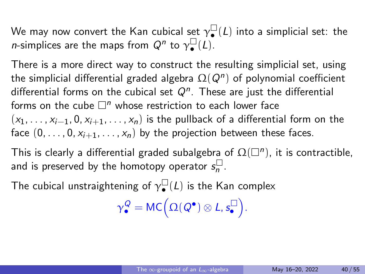We may now convert the Kan cubical set  $\gamma_\bullet^\Box$  $\bigcup_{\bullet}$  (L) into a simplicial set: the *n*-simplices are the maps from  $Q^n$  to  $\gamma_\bullet^\square$  $\bigcup_{\bullet}(L).$ 

There is a more direct way to construct the resulting simplicial set, using the simplicial differential graded algebra  $\Omega(Q^n)$  of polynomial coefficient differential forms on the cubical set  $Q^n$ . These are just the differential forms on the cube  $\Box^n$  whose restriction to each lower face  $(x_1, \ldots, x_{i-1}, 0, x_{i+1}, \ldots, x_n)$  is the pullback of a differential form on the face  $(0, \ldots, 0, x_{i+1}, \ldots, x_n)$  by the projection between these faces.

This is clearly a differential graded subalgebra of  $\Omega(\Box^n)$ , it is contractible, and is preserved by the homotopy operator  $s_n^{\Box}$ .⊔<br>'n

The cubical unstraightening of  $\gamma_\bullet^\Box$  $\bigcup_{\bullet}$  (L) is the Kan complex

> $\gamma_{\bullet}^{\mathcal{Q}} = \mathsf{MC}\Big(\Omega(\mathcal{Q}^{\bullet})\otimes \mathcal{L}, s_{\bullet}^{\square}$ .□).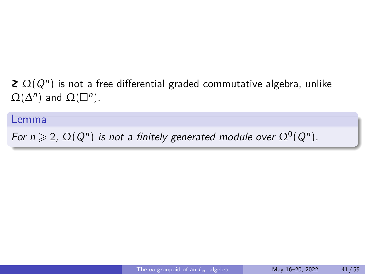### $\Omega(Q^n)$  is not a free differential graded commutative algebra, unlike  $\Omega(\Delta^n)$  and  $\Omega(\square^n)$ .

#### Lemma

For  $n \geqslant 2$ ,  $\Omega(Q^n)$  is not a finitely generated module over  $\Omega^0(Q^n)$ .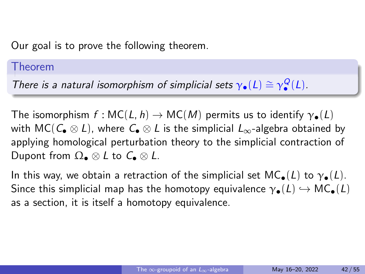Our goal is to prove the following theorem.

#### Theorem

There is a natural isomorphism of simplicial sets  $\gamma_{\bullet}(L) \cong \gamma_{\bullet}^{Q}(L)$ .

The isomorphism  $f: \mathsf{MC}(L, h) \to \mathsf{MC}(M)$  permits us to identify  $\gamma_{\bullet}(L)$ with MC( $C_{\bullet} \otimes L$ ), where  $C_{\bullet} \otimes L$  is the simplicial  $L_{\infty}$ -algebra obtained by applying homological perturbation theory to the simplicial contraction of Dupont from  $\Omega_{\bullet} \otimes L$  to  $C_{\bullet} \otimes L$ .

In this way, we obtain a retraction of the simplicial set  $MC_{\bullet}(L)$  to  $\gamma_{\bullet}(L)$ . Since this simplicial map has the homotopy equivalence  $\gamma_{\bullet}(L) \hookrightarrow MC_{\bullet}(L)$ as a section, it is itself a homotopy equivalence.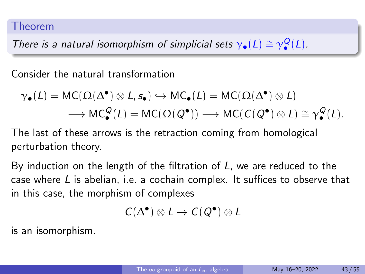#### Theorem

There is a natural isomorphism of simplicial sets  $\gamma_{\bullet}(L) \cong \gamma_{\bullet}^Q(L)$ .

Consider the natural transformation

$$
\gamma_{\bullet}(L) = \mathsf{MC}(\Omega(\Delta^{\bullet}) \otimes L, s_{\bullet}) \hookrightarrow \mathsf{MC}_{\bullet}(L) = \mathsf{MC}(\Omega(\Delta^{\bullet}) \otimes L)
$$

$$
\longrightarrow \mathsf{MC}_{\bullet}^Q(L) = \mathsf{MC}(\Omega(Q^{\bullet})) \longrightarrow \mathsf{MC}(C(Q^{\bullet}) \otimes L) \cong \gamma_{\bullet}^Q(L).
$$

The last of these arrows is the retraction coming from homological perturbation theory.

By induction on the length of the filtration of  $L$ , we are reduced to the case where  $L$  is abelian, i.e. a cochain complex. It suffices to observe that in this case, the morphism of complexes

$$
\textit{C}(\Delta^\bullet)\otimes\textit{L}\rightarrow\textit{C}(\textit{Q}^\bullet)\otimes\textit{L}
$$

is an isomorphism.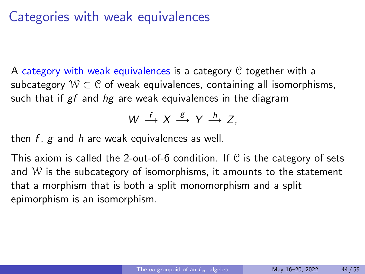### Categories with weak equivalences

A category with weak equivalences is a category C together with a subcategory  $W \subset \mathcal{C}$  of weak equivalences, containing all isomorphisms, such that if  $gf$  and  $hg$  are weak equivalences in the diagram

$$
W \stackrel{f}{\longrightarrow} X \stackrel{g}{\longrightarrow} Y \stackrel{h}{\longrightarrow} Z,
$$

then  $f$ ,  $g$  and  $h$  are weak equivalences as well.

This axiom is called the 2-out-of-6 condition. If  $\mathcal C$  is the category of sets and  $W$  is the subcategory of isomorphisms, it amounts to the statement that a morphism that is both a split monomorphism and a split epimorphism is an isomorphism.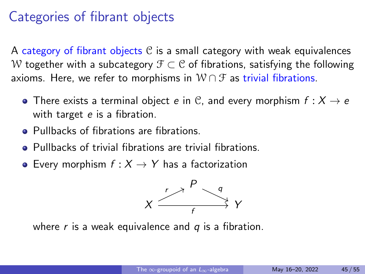### Categories of fibrant objects

A category of fibrant objects  $\mathcal C$  is a small category with weak equivalences W together with a subcategory  $\mathcal{F} \subset \mathcal{C}$  of fibrations, satisfying the following axioms. Here, we refer to morphisms in  $W \cap \mathcal{F}$  as trivial fibrations.

- There exists a terminal object e in C, and every morphism  $f: X \rightarrow e$ with target e is a fibration.
- Pullbacks of fibrations are fibrations.
- Pullbacks of trivial fibrations are trivial fibrations.
- Every morphism  $f : X \rightarrow Y$  has a factorization



where r is a weak equivalence and  $q$  is a fibration.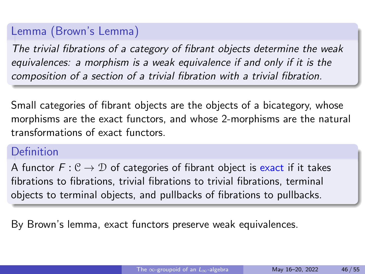### Lemma (Brown's Lemma)

The trivial fibrations of a category of fibrant objects determine the weak equivalences: a morphism is a weak equivalence if and only if it is the composition of a section of a trivial fibration with a trivial fibration.

Small categories of fibrant objects are the objects of a bicategory, whose morphisms are the exact functors, and whose 2-morphisms are the natural transformations of exact functors.

### Definition

A functor  $F: \mathcal{C} \to \mathcal{D}$  of categories of fibrant object is exact if it takes fibrations to fibrations, trivial fibrations to trivial fibrations, terminal objects to terminal objects, and pullbacks of fibrations to pullbacks.

By Brown's lemma, exact functors preserve weak equivalences.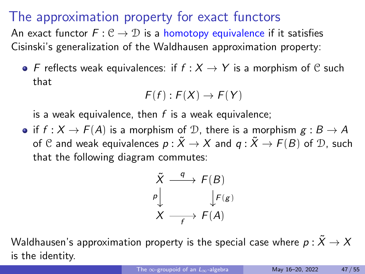### The approximation property for exact functors

An exact functor  $F: \mathcal{C} \to \mathcal{D}$  is a homotopy equivalence if it satisfies Cisinski's generalization of the Waldhausen approximation property:

• F reflects weak equivalences: if  $f : X \rightarrow Y$  is a morphism of C such that

$$
F(f):F(X)\to F(Y)
$$

is a weak equivalence, then  $f$  is a weak equivalence;

• if  $f : X \to F(A)$  is a morphism of D, there is a morphism  $g : B \to A$ of C and weak equivalences  $p : \tilde{X} \to X$  and  $q : \tilde{X} \to F(B)$  of D, such that the following diagram commutes:

$$
\tilde{X} \xrightarrow{q} F(B)
$$
\n
$$
\downarrow \qquad \qquad \downarrow F(g)
$$
\n
$$
X \xrightarrow{f} F(A)
$$

Waldhausen's approximation property is the special case where  $p: \tilde{X} \to X$ is the identity.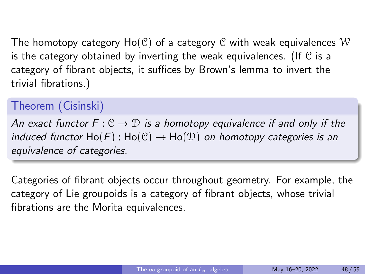The homotopy category  $Ho(\mathcal{C})$  of a category  $\mathcal C$  with weak equivalences W is the category obtained by inverting the weak equivalences. (If  $\mathfrak C$  is a category of fibrant objects, it suffices by Brown's lemma to invert the trivial fibrations.)

### Theorem (Cisinski)

An exact functor  $F: \mathcal{C} \to \mathcal{D}$  is a homotopy equivalence if and only if the induced functor  $Ho(F): Ho(\mathcal{C}) \to Ho(\mathcal{D})$  on homotopy categories is an equivalence of categories.

Categories of fibrant objects occur throughout geometry. For example, the category of Lie groupoids is a category of fibrant objects, whose trivial fibrations are the Morita equivalences.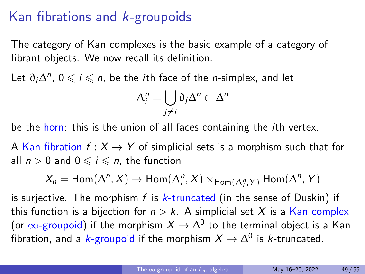# Kan fibrations and k-groupoids

The category of Kan complexes is the basic example of a category of fibrant objects. We now recall its definition.

Let  $\partial_i \Delta^n$ ,  $0 \leqslant i \leqslant n$ , be the *i*th face of the *n*-simplex, and let

$$
\Lambda_i^n = \bigcup_{j \neq i} \partial_j \Delta^n \subset \Delta^n
$$

be the horn: this is the union of all faces containing the *i*th vertex.

A Kan fibration  $f: X \rightarrow Y$  of simplicial sets is a morphism such that for all  $n > 0$  and  $0 \leq i \leq n$ , the function

$$
X_n = \text{Hom}(\Delta^n, X) \to \text{Hom}(\Lambda^n_i, X) \times_{\text{Hom}(\Lambda^n_i, Y)} \text{Hom}(\Delta^n, Y)
$$

is surjective. The morphism f is  $k$ -truncated (in the sense of Duskin) if this function is a bijection for  $n > k$ . A simplicial set X is a Kan complex (or  $\infty$ -groupoid) if the morphism  $X \to \Delta^0$  to the terminal object is a Kan fibration, and a  $k$ -groupoid if the morphism  $X \to \Delta^0$  is  $k$ -truncated.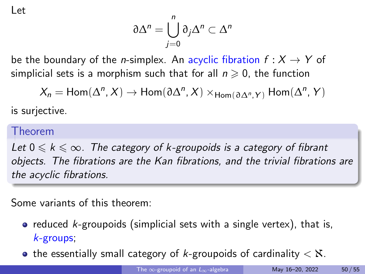Let

$$
\partial\Delta^n=\bigcup_{j=0}^n\partial_j\Delta^n\subset\Delta^n
$$

be the boundary of the *n*-simplex. An acyclic fibration  $f: X \rightarrow Y$  of simplicial sets is a morphism such that for all  $n \geq 0$ , the function

 $X_n = Hom(\Delta^n, X) \to Hom(\partial \Delta^n, X) \times_{Hom(\partial \Delta^n, Y)} Hom(\Delta^n, Y)$ 

is surjective.

#### Theorem

Let  $0 \leq k \leq \infty$ . The category of k-groupoids is a category of fibrant objects. The fibrations are the Kan fibrations, and the trivial fibrations are the acyclic fibrations.

Some variants of this theorem:

- reduced  $k$ -groupoids (simplicial sets with a single vertex), that is, k-groups;
- the essentially small category of k-groupoids of cardinality  $\lt X$ .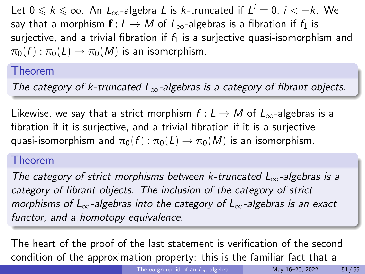Let  $0 \le k \le \infty$ . An  $L_{\infty}$ -algebra L is k-truncated if  $L^i = 0$ ,  $i < -k$ . We say that a morphism  $f: L \to M$  of  $L_{\infty}$ -algebras is a fibration if  $f_1$  is surjective, and a trivial fibration if  $f_1$  is a surjective quasi-isomorphism and  $\pi_0(f) : \pi_0(L) \to \pi_0(M)$  is an isomorphism.

### Theorem

The category of k-truncated  $L_{\infty}$ -algebras is a category of fibrant objects.

Likewise, we say that a strict morphism  $f: L \to M$  of  $L_{\infty}$ -algebras is a fibration if it is surjective, and a trivial fibration if it is a surjective quasi-isomorphism and  $\pi_0(f) : \pi_0(L) \to \pi_0(M)$  is an isomorphism.

#### Theorem

The category of strict morphisms between k-truncated  $L_{\infty}$ -algebras is a category of fibrant objects. The inclusion of the category of strict morphisms of  $L_{\infty}$ -algebras into the category of  $L_{\infty}$ -algebras is an exact functor, and a homotopy equivalence.

The heart of the proof of the last statement is verification of the second condition of the approximation property: this is the familiar fact that a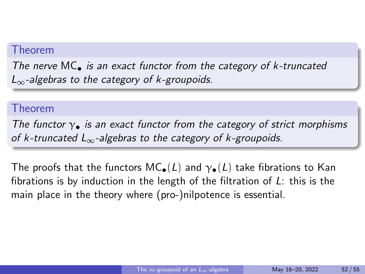#### Theorem

The nerve  $MC_{\bullet}$  is an exact functor from the category of  $k$ -truncated  $L_{\infty}$ -algebras to the category of k-groupoids.

#### Theorem

The functor  $\gamma_{\bullet}$  is an exact functor from the category of strict morphisms of k-truncated  $L_{\infty}$ -algebras to the category of k-groupoids.

The proofs that the functors  $MC_{\bullet}(L)$  and  $\gamma_{\bullet}(L)$  take fibrations to Kan fibrations is by induction in the length of the filtration of  $L$ : this is the main place in the theory where (pro-)nilpotence is essential.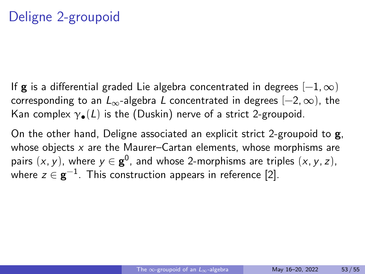If **g** is a differential graded Lie algebra concentrated in degrees  $[-1, \infty)$ corresponding to an  $L_{\infty}$ -algebra L concentrated in degrees  $[-2, \infty)$ , the Kan complex  $\gamma_{\bullet}(L)$  is the (Duskin) nerve of a strict 2-groupoid.

On the other hand, Deligne associated an explicit strict 2-groupoid to g, whose objects  $x$  are the Maurer–Cartan elements, whose morphisms are pairs  $(x, y)$ , where  $y \in \mathbf{g}^0$ , and whose 2-morphisms are triples  $(x, y, z)$ , where  $z\in {\bf g}^{-1}.$  This construction appears in reference [2].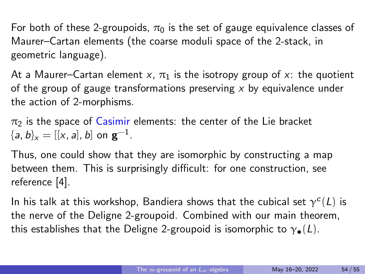For both of these 2-groupoids,  $\pi_0$  is the set of gauge equivalence classes of Maurer–Cartan elements (the coarse moduli space of the 2-stack, in geometric language).

At a Maurer–Cartan element x,  $\pi_1$  is the isotropy group of x: the quotient of the group of gauge transformations preserving  $x$  by equivalence under the action of 2-morphisms.

 $\pi_2$  is the space of Casimir elements: the center of the Lie bracket  ${a, b}_x = [[x, a], b]$  on  $\mathbf{g}^{-1}$ .

Thus, one could show that they are isomorphic by constructing a map between them. This is surprisingly difficult: for one construction, see reference [4].

In his talk at this workshop, Bandiera shows that the cubical set  $\gamma^c(L)$  is the nerve of the Deligne 2-groupoid. Combined with our main theorem, this establishes that the Deligne 2-groupoid is isomorphic to  $\gamma_{\bullet}(L)$ .